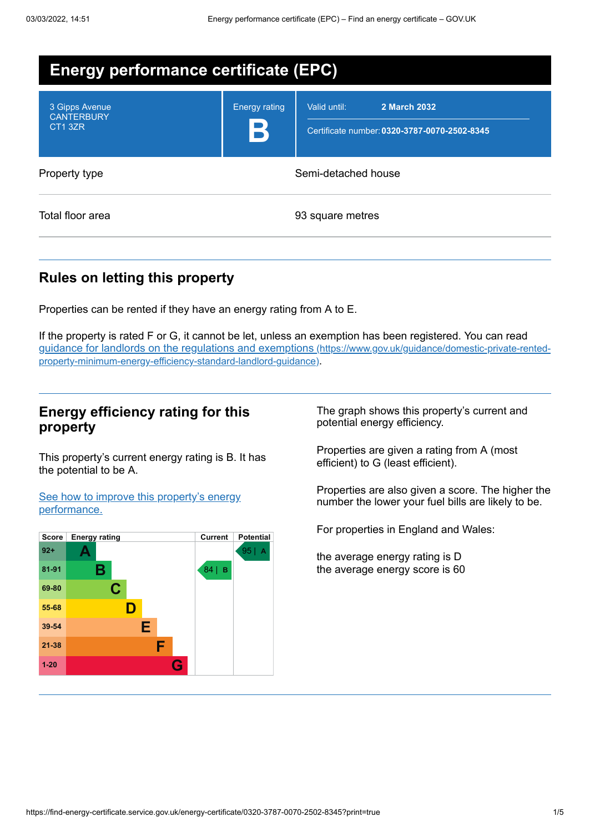| <b>Energy performance certificate (EPC)</b>    |                      |                                                                              |
|------------------------------------------------|----------------------|------------------------------------------------------------------------------|
| 3 Gipps Avenue<br><b>CANTERBURY</b><br>CT1 3ZR | <b>Energy rating</b> | Valid until:<br>2 March 2032<br>Certificate number: 0320-3787-0070-2502-8345 |
| Property type                                  |                      | Semi-detached house                                                          |
| Total floor area                               |                      | 93 square metres                                                             |

## **Rules on letting this property**

Properties can be rented if they have an energy rating from A to E.

If the property is rated F or G, it cannot be let, unless an exemption has been registered. You can read guidance for landlords on the regulations and exemptions (https://www.gov.uk/guidance/domestic-private-rented[property-minimum-energy-efficiency-standard-landlord-guidance\)](https://www.gov.uk/guidance/domestic-private-rented-property-minimum-energy-efficiency-standard-landlord-guidance).

## **Energy efficiency rating for this property**

This property's current energy rating is B. It has the potential to be A.

See how to improve this property's energy [performance.](#page-2-0)



The graph shows this property's current and potential energy efficiency.

Properties are given a rating from A (most efficient) to G (least efficient).

Properties are also given a score. The higher the number the lower your fuel bills are likely to be.

For properties in England and Wales:

the average energy rating is D the average energy score is 60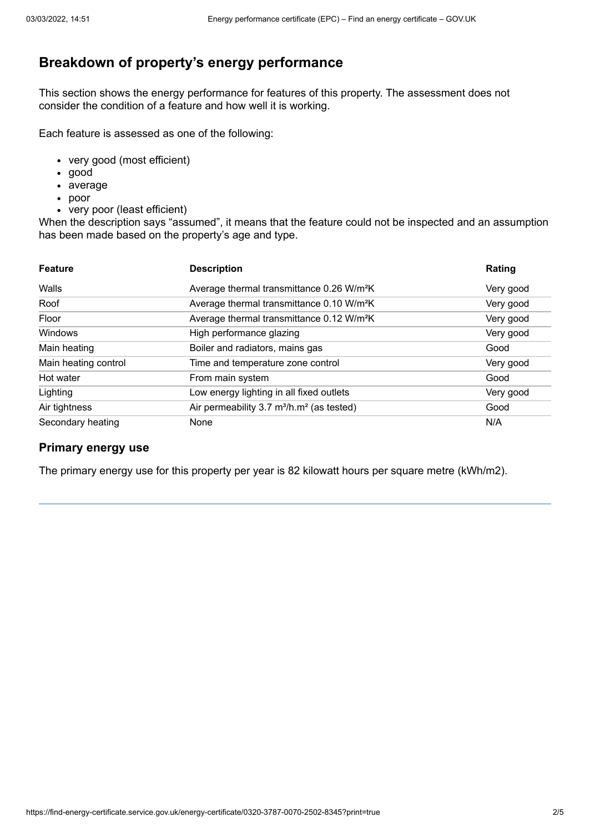# **Breakdown of property's energy performance**

This section shows the energy performance for features of this property. The assessment does not consider the condition of a feature and how well it is working.

Each feature is assessed as one of the following:

- very good (most efficient)
- good
- average
- poor
- very poor (least efficient)

When the description says "assumed", it means that the feature could not be inspected and an assumption has been made based on the property's age and type.

| <b>Feature</b>       | <b>Description</b>                                                | Rating    |
|----------------------|-------------------------------------------------------------------|-----------|
| Walls                | Average thermal transmittance 0.26 W/m <sup>2</sup> K             | Very good |
| Roof                 | Average thermal transmittance 0.10 W/m <sup>2</sup> K             | Very good |
| Floor                | Average thermal transmittance 0.12 W/m <sup>2</sup> K             | Very good |
| Windows              | High performance glazing                                          | Very good |
| Main heating         | Boiler and radiators, mains gas                                   | Good      |
| Main heating control | Time and temperature zone control                                 | Very good |
| Hot water            | From main system                                                  | Good      |
| Lighting             | Low energy lighting in all fixed outlets                          | Very good |
| Air tightness        | Air permeability 3.7 m <sup>3</sup> /h.m <sup>2</sup> (as tested) | Good      |
| Secondary heating    | None                                                              | N/A       |

#### **Primary energy use**

The primary energy use for this property per year is 82 kilowatt hours per square metre (kWh/m2).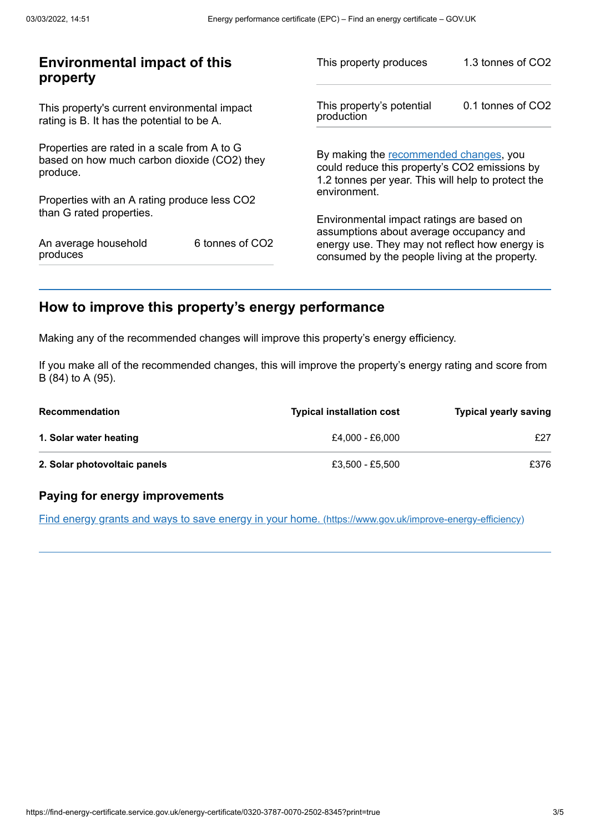| <b>Environmental impact of this</b><br>property                                                        |                             | This property produces                                                                                                                        | 1.3 tonnes of CO2 |
|--------------------------------------------------------------------------------------------------------|-----------------------------|-----------------------------------------------------------------------------------------------------------------------------------------------|-------------------|
| This property's current environmental impact<br>rating is B. It has the potential to be A.             |                             | This property's potential<br>production                                                                                                       | 0.1 tonnes of CO2 |
| Properties are rated in a scale from A to G<br>based on how much carbon dioxide (CO2) they<br>produce. |                             | By making the recommended changes, you<br>could reduce this property's CO2 emissions by<br>1.2 tonnes per year. This will help to protect the |                   |
| Properties with an A rating produce less CO2                                                           |                             | environment.                                                                                                                                  |                   |
| than G rated properties.                                                                               |                             | Environmental impact ratings are based on<br>assumptions about average occupancy and                                                          |                   |
| An average household<br>produces                                                                       | 6 tonnes of CO <sub>2</sub> | energy use. They may not reflect how energy is<br>consumed by the people living at the property.                                              |                   |
|                                                                                                        |                             |                                                                                                                                               |                   |

# <span id="page-2-0"></span>**How to improve this property's energy performance**

Making any of the recommended changes will improve this property's energy efficiency.

If you make all of the recommended changes, this will improve the property's energy rating and score from B (84) to A (95).

| <b>Recommendation</b>        | <b>Typical installation cost</b> | <b>Typical yearly saving</b> |
|------------------------------|----------------------------------|------------------------------|
| 1. Solar water heating       | £4.000 - £6.000                  | £27                          |
| 2. Solar photovoltaic panels | £3.500 - £5.500                  | £376                         |

#### **Paying for energy improvements**

Find energy grants and ways to save energy in your home. [\(https://www.gov.uk/improve-energy-efficiency\)](https://www.gov.uk/improve-energy-efficiency)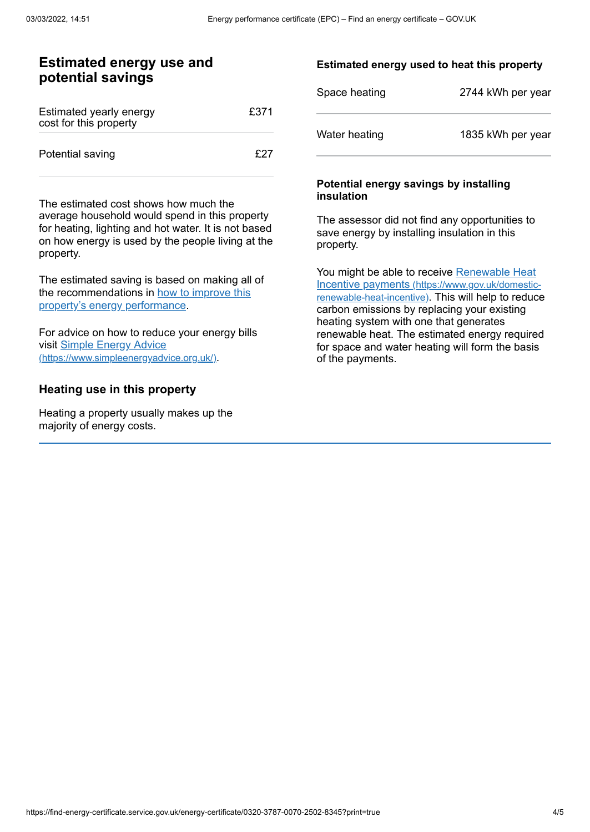## **Estimated energy use and potential savings**

| Estimated yearly energy<br>cost for this property | £371 |
|---------------------------------------------------|------|
| Potential saving                                  | f27  |

The estimated cost shows how much the average household would spend in this property for heating, lighting and hot water. It is not based on how energy is used by the people living at the property.

The estimated saving is based on making all of the [recommendations](#page-2-0) in how to improve this property's energy performance.

For advice on how to reduce your energy bills visit Simple Energy Advice [\(https://www.simpleenergyadvice.org.uk/\)](https://www.simpleenergyadvice.org.uk/).

#### **Heating use in this property**

Heating a property usually makes up the majority of energy costs.

#### **Estimated energy used to heat this property**

| Space heating | 2744 kWh per year |
|---------------|-------------------|
| Water heating | 1835 kWh per year |

#### **Potential energy savings by installing insulation**

The assessor did not find any opportunities to save energy by installing insulation in this property.

You might be able to receive Renewable Heat Incentive payments [\(https://www.gov.uk/domestic](https://www.gov.uk/domestic-renewable-heat-incentive)renewable-heat-incentive). This will help to reduce carbon emissions by replacing your existing heating system with one that generates renewable heat. The estimated energy required for space and water heating will form the basis of the payments.